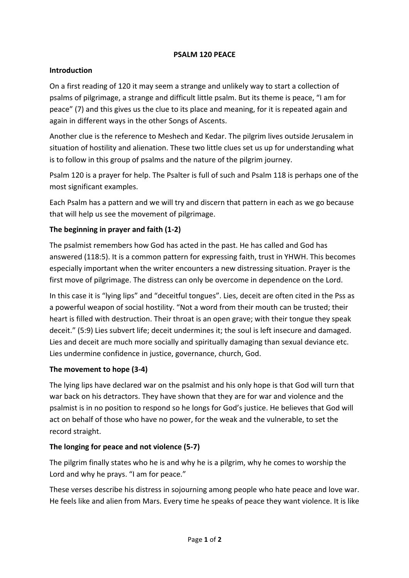### **PSALM 120 PEACE**

#### **Introduction**

On a first reading of 120 it may seem a strange and unlikely way to start a collection of psalms of pilgrimage, a strange and difficult little psalm. But its theme is peace, "I am for peace" (7) and this gives us the clue to its place and meaning, for it is repeated again and again in different ways in the other Songs of Ascents.

Another clue is the reference to Meshech and Kedar. The pilgrim lives outside Jerusalem in situation of hostility and alienation. These two little clues set us up for understanding what is to follow in this group of psalms and the nature of the pilgrim journey.

Psalm 120 is a prayer for help. The Psalter is full of such and Psalm 118 is perhaps one of the most significant examples.

Each Psalm has a pattern and we will try and discern that pattern in each as we go because that will help us see the movement of pilgrimage.

# The beginning in prayer and faith (1-2)

The psalmist remembers how God has acted in the past. He has called and God has answered (118:5). It is a common pattern for expressing faith, trust in YHWH. This becomes especially important when the writer encounters a new distressing situation. Prayer is the first move of pilgrimage. The distress can only be overcome in dependence on the Lord.

In this case it is "lying lips" and "deceitful tongues". Lies, deceit are often cited in the Pss as a powerful weapon of social hostility. "Not a word from their mouth can be trusted; their heart is filled with destruction. Their throat is an open grave; with their tongue they speak deceit." (5:9) Lies subvert life; deceit undermines it; the soul is left insecure and damaged. Lies and deceit are much more socially and spiritually damaging than sexual deviance etc. Lies undermine confidence in justice, governance, church, God.

### The movement to hope (3-4)

The lying lips have declared war on the psalmist and his only hope is that God will turn that war back on his detractors. They have shown that they are for war and violence and the psalmist is in no position to respond so he longs for God's justice. He believes that God will act on behalf of those who have no power, for the weak and the vulnerable, to set the record straight.

### The longing for peace and not violence (5-7)

The pilgrim finally states who he is and why he is a pilgrim, why he comes to worship the Lord and why he prays. "I am for peace."

These verses describe his distress in sojourning among people who hate peace and love war. He feels like and alien from Mars. Every time he speaks of peace they want violence. It is like